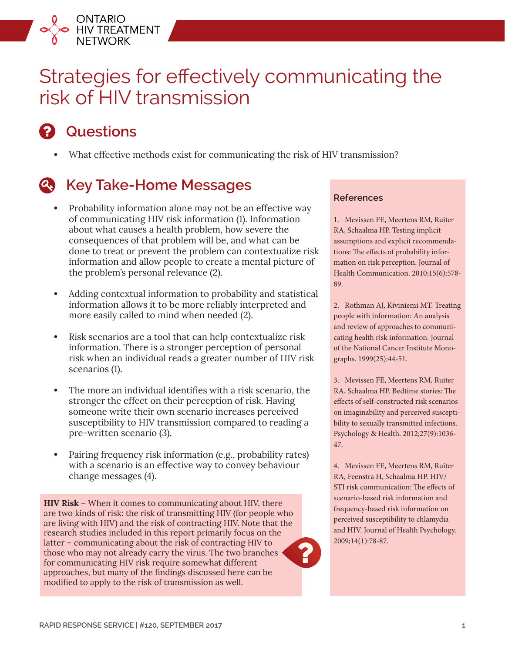

# Strategies for effectively communicating the risk of HIV transmission

# **Questions**

**•** What effective methods exist for communicating the risk of HIV transmission?

## **Key Take-Home Messages**

- **•** Probability information alone may not be an effective way of communicating HIV risk information (1). Information about what causes a health problem, how severe the consequences of that problem will be, and what can be done to treat or prevent the problem can contextualize risk information and allow people to create a mental picture of the problem's personal relevance (2).
- **•** Adding contextual information to probability and statistical information allows it to be more reliably interpreted and more easily called to mind when needed (2).
- **•** Risk scenarios are a tool that can help contextualize risk information. There is a stronger perception of personal risk when an individual reads a greater number of HIV risk scenarios (1).
- **•** The more an individual identifies with a risk scenario, the stronger the effect on their perception of risk. Having someone write their own scenario increases perceived susceptibility to HIV transmission compared to reading a pre-written scenario (3).
- **•** Pairing frequency risk information (e.g., probability rates) with a scenario is an effective way to convey behaviour change messages (4).

**HIV Risk** – When it comes to communicating about HIV, there are two kinds of risk: the risk of transmitting HIV (for people who are living with HIV) and the risk of contracting HIV. Note that the research studies included in this report primarily focus on the latter – communicating about the risk of contracting HIV to those who may not already carry the virus. The two branches for communicating HIV risk require somewhat different approaches, but many of the findings discussed here can be modified to apply to the risk of transmission as well.

#### **References**

1. Mevissen FE, Meertens RM, Ruiter RA, Schaalma HP. Testing implicit assumptions and explicit recommendations: The effects of probability information on risk perception. Journal of Health Communication. 2010;15(6):578- 89.

2. Rothman AJ, Kiviniemi MT. Treating people with information: An analysis and review of approaches to communicating health risk information. Journal of the National Cancer Institute Monographs. 1999(25):44-51.

3. Mevissen FE, Meertens RM, Ruiter RA, Schaalma HP. Bedtime stories: The effects of self-constructed risk scenarios on imaginability and perceived susceptibility to sexually transmitted infections. Psychology & Health. 2012;27(9):1036- 47.

4. Mevissen FE, Meertens RM, Ruiter RA, Feenstra H, Schaalma HP. HIV/ STI risk communication: The effects of scenario-based risk information and frequency-based risk information on perceived susceptibility to chlamydia and HIV. Journal of Health Psychology. 2009;14(1):78-87.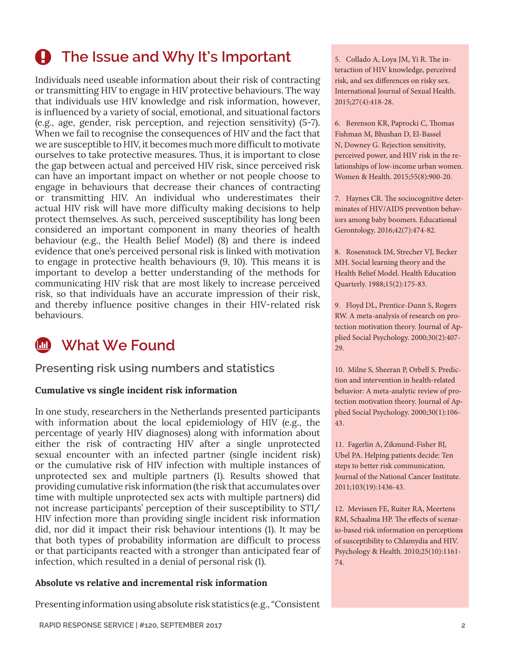# **A** The Issue and Why It's Important

Individuals need useable information about their risk of contracting or transmitting HIV to engage in HIV protective behaviours. The way that individuals use HIV knowledge and risk information, however, is influenced by a variety of social, emotional, and situational factors (e.g., age, gender, risk perception, and rejection sensitivity) (5-7). When we fail to recognise the consequences of HIV and the fact that we are susceptible to HIV, it becomes much more difficult to motivate ourselves to take protective measures. Thus, it is important to close the gap between actual and perceived HIV risk, since perceived risk can have an important impact on whether or not people choose to engage in behaviours that decrease their chances of contracting or transmitting HIV. An individual who underestimates their actual HIV risk will have more difficulty making decisions to help protect themselves. As such, perceived susceptibility has long been considered an important component in many theories of health behaviour (e.g., the Health Belief Model) (8) and there is indeed evidence that one's perceived personal risk is linked with motivation to engage in protective health behaviours (9, 10). This means it is important to develop a better understanding of the methods for communicating HIV risk that are most likely to increase perceived risk, so that individuals have an accurate impression of their risk, and thereby influence positive changes in their HIV-related risk behaviours.

## *M* What We Found

**Presenting risk using numbers and statistics**

#### **Cumulative vs single incident risk information**

In one study, researchers in the Netherlands presented participants with information about the local epidemiology of HIV (e.g., the percentage of yearly HIV diagnoses) along with information about either the risk of contracting HIV after a single unprotected sexual encounter with an infected partner (single incident risk) or the cumulative risk of HIV infection with multiple instances of unprotected sex and multiple partners (1). Results showed that providing cumulative risk information (the risk that accumulates over time with multiple unprotected sex acts with multiple partners) did not increase participants' perception of their susceptibility to STI/ HIV infection more than providing single incident risk information did, nor did it impact their risk behaviour intentions (1). It may be that both types of probability information are difficult to process or that participants reacted with a stronger than anticipated fear of infection, which resulted in a denial of personal risk (1).

#### **Absolute vs relative and incremental risk information**

Presenting information using absolute risk statistics (e.g., "Consistent

5. Collado A, Loya JM, Yi R. The interaction of HIV knowledge, perceived risk, and sex differences on risky sex. International Journal of Sexual Health. 2015;27(4):418-28.

6. Berenson KR, Paprocki C, Thomas Fishman M, Bhushan D, El-Bassel N, Downey G. Rejection sensitivity, perceived power, and HIV risk in the relationships of low-income urban women. Women & Health. 2015;55(8):900-20.

7. Haynes CR. The sociocognitive determinates of HIV/AIDS prevention behaviors among baby boomers. Educational Gerontology. 2016;42(7):474-82.

8. Rosenstock IM, Strecher VJ, Becker MH. Social learning theory and the Health Belief Model. Health Education Quarterly. 1988;15(2):175-83.

9. Floyd DL, Prentice‐Dunn S, Rogers RW. A meta‐analysis of research on protection motivation theory. Journal of Applied Social Psychology. 2000;30(2):407- 29.

10. Milne S, Sheeran P, Orbell S. Prediction and intervention in health‐related behavior: A meta‐analytic review of protection motivation theory. Journal of Applied Social Psychology. 2000;30(1):106- 43.

11. Fagerlin A, Zikmund-Fisher BJ, Ubel PA. Helping patients decide: Ten steps to better risk communication. Journal of the National Cancer Institute. 2011;103(19):1436-43.

12. Mevissen FE, Ruiter RA, Meertens RM, Schaalma HP. The effects of scenario-based risk information on perceptions of susceptibility to Chlamydia and HIV. Psychology & Health. 2010;25(10):1161- 74.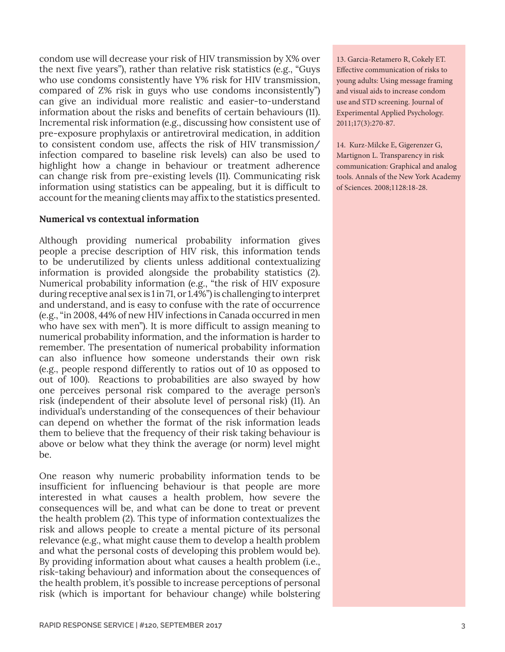condom use will decrease your risk of HIV transmission by X% over the next five years"), rather than relative risk statistics (e.g., "Guys who use condoms consistently have Y% risk for HIV transmission, compared of Z% risk in guys who use condoms inconsistently") can give an individual more realistic and easier-to-understand information about the risks and benefits of certain behaviours (11). Incremental risk information (e.g., discussing how consistent use of pre-exposure prophylaxis or antiretroviral medication, in addition to consistent condom use, affects the risk of HIV transmission/ infection compared to baseline risk levels) can also be used to highlight how a change in behaviour or treatment adherence can change risk from pre-existing levels (11). Communicating risk information using statistics can be appealing, but it is difficult to account for the meaning clients may affix to the statistics presented.

#### **Numerical vs contextual information**

Although providing numerical probability information gives people a precise description of HIV risk, this information tends to be underutilized by clients unless additional contextualizing information is provided alongside the probability statistics (2). Numerical probability information (e.g., "the risk of HIV exposure during receptive anal sex is 1 in 71, or 1.4%") is challenging to interpret and understand, and is easy to confuse with the rate of occurrence (e.g., "in 2008, 44% of new HIV infections in Canada occurred in men who have sex with men"). It is more difficult to assign meaning to numerical probability information, and the information is harder to remember. The presentation of numerical probability information can also influence how someone understands their own risk (e.g., people respond differently to ratios out of 10 as opposed to out of 100). Reactions to probabilities are also swayed by how one perceives personal risk compared to the average person's risk (independent of their absolute level of personal risk) (11). An individual's understanding of the consequences of their behaviour can depend on whether the format of the risk information leads them to believe that the frequency of their risk taking behaviour is above or below what they think the average (or norm) level might be.

One reason why numeric probability information tends to be insufficient for influencing behaviour is that people are more interested in what causes a health problem, how severe the consequences will be, and what can be done to treat or prevent the health problem (2). This type of information contextualizes the risk and allows people to create a mental picture of its personal relevance (e.g., what might cause them to develop a health problem and what the personal costs of developing this problem would be). By providing information about what causes a health problem (i.e., risk-taking behaviour) and information about the consequences of the health problem, it's possible to increase perceptions of personal risk (which is important for behaviour change) while bolstering

13. Garcia-Retamero R, Cokely ET. Effective communication of risks to young adults: Using message framing and visual aids to increase condom use and STD screening. Journal of Experimental Applied Psychology. 2011;17(3):270-87.

14. Kurz-Milcke E, Gigerenzer G, Martignon L. Transparency in risk communication: Graphical and analog tools. Annals of the New York Academy of Sciences. 2008;1128:18-28.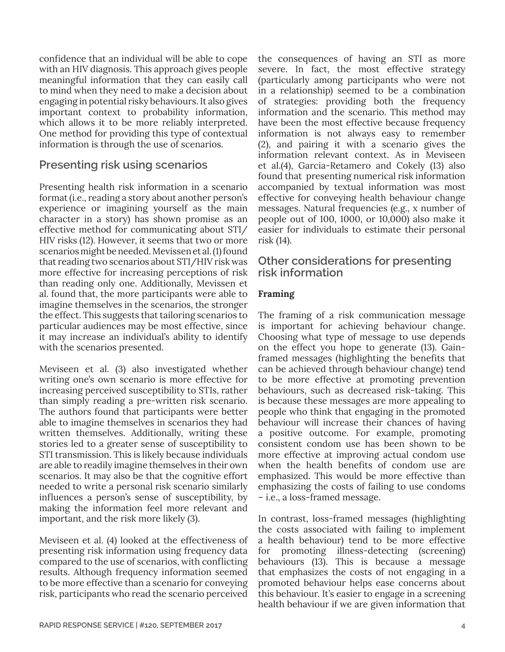confidence that an individual will be able to cope with an HIV diagnosis. This approach gives people meaningful information that they can easily call to mind when they need to make a decision about engaging in potential risky behaviours. It also gives important context to probability information, which allows it to be more reliably interpreted. One method for providing this type of contextual information is through the use of scenarios.

### **Presenting risk using scenarios**

Presenting health risk information in a scenario format (i.e., reading a story about another person's experience or imagining yourself as the main character in a story) has shown promise as an effective method for communicating about STI/ HIV risks (12). However, it seems that two or more scenarios might be needed. Mevissen et al. (1) found that reading two scenarios about STI/HIV risk was more effective for increasing perceptions of risk than reading only one. Additionally, Mevissen et al. found that, the more participants were able to imagine themselves in the scenarios, the stronger the effect. This suggests that tailoring scenarios to particular audiences may be most effective, since it may increase an individual's ability to identify with the scenarios presented.

Meviseen et al. (3) also investigated whether writing one's own scenario is more effective for increasing perceived susceptibility to STIs, rather than simply reading a pre-written risk scenario. The authors found that participants were better able to imagine themselves in scenarios they had written themselves. Additionally, writing these stories led to a greater sense of susceptibility to STI transmission. This is likely because individuals are able to readily imagine themselves in their own scenarios. It may also be that the cognitive effort needed to write a personal risk scenario similarly influences a person's sense of susceptibility, by making the information feel more relevant and important, and the risk more likely (3).

Meviseen et al. (4) looked at the effectiveness of presenting risk information using frequency data compared to the use of scenarios, with conflicting results. Although frequency information seemed to be more effective than a scenario for conveying risk, participants who read the scenario perceived

the consequences of having an STI as more severe. In fact, the most effective strategy (particularly among participants who were not in a relationship) seemed to be a combination of strategies: providing both the frequency information and the scenario. This method may have been the most effective because frequency information is not always easy to remember (2), and pairing it with a scenario gives the information relevant context. As in Meviseen et al.(4), Garcia-Retamero and Cokely (13) also found that presenting numerical risk information accompanied by textual information was most effective for conveying health behaviour change messages. Natural frequencies (e.g., x number of people out of 100, 1000, or 10,000) also make it easier for individuals to estimate their personal risk (14).

#### **Other considerations for presenting risk information**

#### **Framing**

The framing of a risk communication message is important for achieving behaviour change. Choosing what type of message to use depends on the effect you hope to generate (13). Gainframed messages (highlighting the benefits that can be achieved through behaviour change) tend to be more effective at promoting prevention behaviours, such as decreased risk-taking. This is because these messages are more appealing to people who think that engaging in the promoted behaviour will increase their chances of having a positive outcome. For example, promoting consistent condom use has been shown to be more effective at improving actual condom use when the health benefits of condom use are emphasized. This would be more effective than emphasizing the costs of failing to use condoms – i.e., a loss-framed message.

In contrast, loss-framed messages (highlighting the costs associated with failing to implement a health behaviour) tend to be more effective for promoting illness-detecting (screening) behaviours (13). This is because a message that emphasizes the costs of not engaging in a promoted behaviour helps ease concerns about this behaviour. It's easier to engage in a screening health behaviour if we are given information that